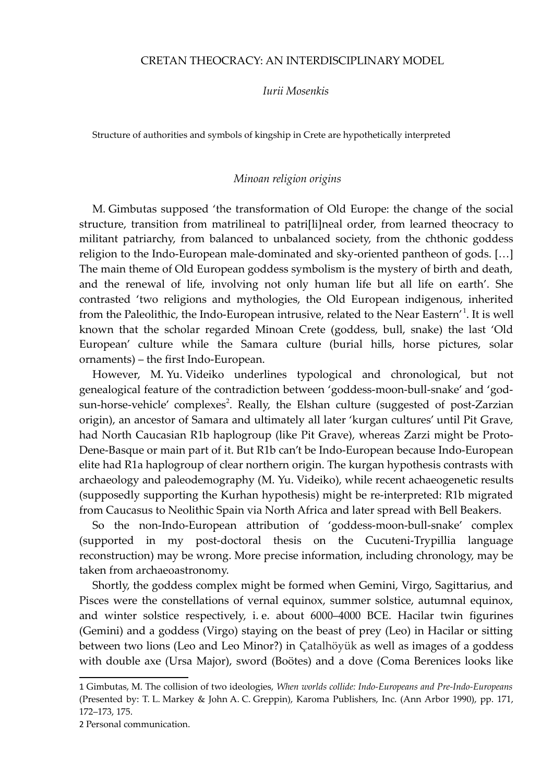## CRETAN THEOCRACY: AN INTERDISCIPLINARY MODEL

*Iurii Mosenkis*

Structure of authorities and symbols of kingship in Crete are hypothetically interpreted

# *Minoan religion origins*

M. Gimbutas supposed 'the transformation of Old Europe: the change of the social structure, transition from matrilineal to patri[li]neal order, from learned theocracy to militant patriarchy, from balanced to unbalanced society, from the chthonic goddess religion to the Indo-European male-dominated and sky-oriented pantheon of gods. […] The main theme of Old European goddess symbolism is the mystery of birth and death, and the renewal of life, involving not only human life but all life on earth'. She contrasted 'two religions and mythologies, the Old European indigenous, inherited from the Paleolithic, the Indo-European intrusive, related to the Near Eastern'<sup>[1](#page-0-0)</sup>. It is well known that the scholar regarded Minoan Crete (goddess, bull, snake) the last 'Old European' culture while the Samara culture (burial hills, horse pictures, solar ornaments) – the first Indo-European.

However, M. Yu. Videiko underlines typological and chronological, but not genealogical feature of the contradiction between 'goddess-moon-bull-snake' and 'god-sun-horse-vehicle' complexes<sup>[2](#page-0-1)</sup>. Really, the Elshan culture (suggested of post-Zarzian origin), an ancestor of Samara and ultimately all later 'kurgan cultures' until Pit Grave, had North Caucasian R1b haplogroup (like Pit Grave), whereas Zarzi might be Proto-Dene-Basque or main part of it. But R1b can't be Indo-European because Indo-European elite had R1a haplogroup of clear northern origin. The kurgan hypothesis contrasts with archaeology and paleodemography (M. Yu. Videiko), while recent achaeogenetic results (supposedly supporting the Kurhan hypothesis) might be re-interpreted: R1b migrated from Caucasus to Neolithic Spain via North Africa and later spread with Bell Beakers.

So the non-Indo-European attribution of 'goddess-moon-bull-snake' complex (supported in my post-doctoral thesis on the Cucuteni-Trypillia language reconstruction) may be wrong. More precise information, including chronology, may be taken from archaeoastronomy.

Shortly, the goddess complex might be formed when Gemini, Virgo, Sagittarius, and Pisces were the constellations of vernal equinox, summer solstice, autumnal equinox, and winter solstice respectively, i. e. about 6000–4000 BCE. Hacilar twin figurines (Gemini) and a goddess (Virgo) staying on the beast of prey (Leo) in Hacilar or sitting between two lions (Leo and Leo Minor?) in Çatalhöyük as well as images of a goddess with double axe (Ursa Major), sword (Boötes) and a dove (Coma Berenices looks like

<span id="page-0-0"></span><sup>1</sup> Gimbutas, M. The collision of two ideologies, *When worlds collide: Indo-Europeans and Pre-Indo-Europeans* (Presented by: T. L. Markey & John A. C. Greppin), Karoma Publishers, Inc. (Ann Arbor 1990), pp. 171, 172–173, 175.

<span id="page-0-1"></span><sup>2</sup> Personal communication.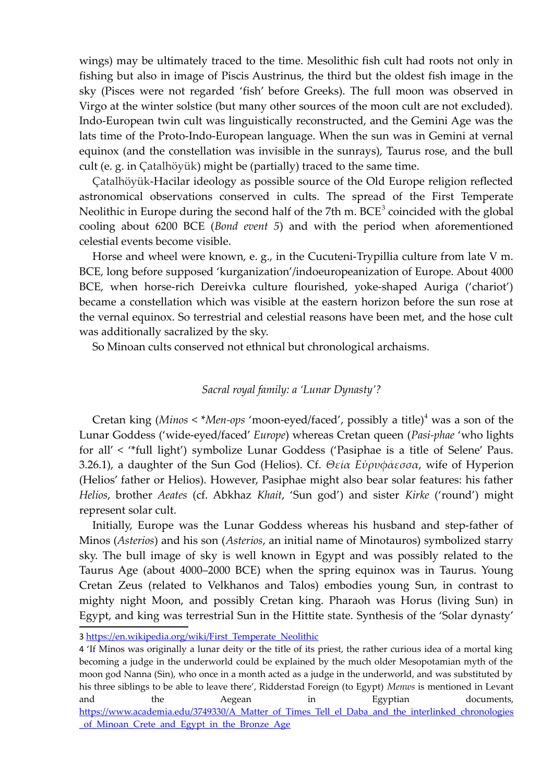wings) may be ultimately traced to the time. Mesolithic fish cult had roots not only in fishing but also in image of Piscis Austrinus, the third but the oldest fish image in the sky (Pisces were not regarded 'fish' before Greeks). The full moon was observed in Virgo at the winter solstice (but many other sources of the moon cult are not excluded). Indo-European twin cult was linguistically reconstructed, and the Gemini Age was the lats time of the Proto-Indo-European language. When the sun was in Gemini at vernal equinox (and the constellation was invisible in the sunrays), Taurus rose, and the bull cult (e. g. in Çatalhöyük) might be (partially) traced to the same time.

Çatalhöyük-Hacilar ideology as possible source of the Old Europe religion reflected astronomical observations conserved in cults. The spread of the First Temperate Neolithic in Europe during the second half of the 7th m. BCE<sup>[3](#page-1-0)</sup> coincided with the global cooling about 6200 BCE (*Bond event 5*) and with the period when aforementioned celestial events become visible.

Horse and wheel were known, e. g., in the Cucuteni-Trypillia culture from late V m. BCE, long before supposed 'kurganization'/indoeuropeanization of Europe. About 4000 BCE, when horse-rich Dereivka culture flourished, yoke-shaped Auriga ('chariot') became a constellation which was visible at the eastern horizon before the sun rose at the vernal equinox. So terrestrial and celestial reasons have been met, and the hose cult was additionally sacralized by the sky.

So Minoan cults conserved not ethnical but chronological archaisms.

### *Sacral royal family: a 'Lunar Dynasty'?*

Cretan king (*Minos* < \**Men-ops* 'moon-eyed/faced', possibly a title)<sup>[4](#page-1-1)</sup> was a son of the Lunar Goddess ('wide-eyed/faced' *Europe*) whereas Cretan queen (*Pasi-phae* 'who lights for all' < '\*full light') symbolize Lunar Goddess ('Pasiphae is a title of Selene' Paus. 3.26.1), a daughter of the Sun God (Helios). Cf. *Θεία Εὐρυφάεσσα*, wife of Hyperion (Helios' father or Helios). However, Pasiphae might also bear solar features: his father *Helios*, brother *Aeates* (cf. Abkhaz *Khait*, 'Sun god') and sister *Kirke* ('round') might represent solar cult.

Initially, Europe was the Lunar Goddess whereas his husband and step-father of Minos (*Asterios*) and his son (*Asterios*, an initial name of Minotauros) symbolized starry sky. The bull image of sky is well known in Egypt and was possibly related to the Taurus Age (about 4000–2000 BCE) when the spring equinox was in Taurus. Young Cretan Zeus (related to Velkhanos and Talos) embodies young Sun, in contrast to mighty night Moon, and possibly Cretan king. Pharaoh was Horus (living Sun) in Egypt, and king was terrestrial Sun in the Hittite state. Synthesis of the 'Solar dynasty'

<span id="page-1-0"></span><sup>3</sup> https://en.wikipedia.org/wiki/First\_Temperate\_Neolithic

<span id="page-1-1"></span><sup>4</sup> 'If Minos was originally a lunar deity or the title of its priest, the rather curious idea of a mortal king becoming a judge in the underworld could be explained by the much older Mesopotamian myth of the moon god Nanna (Sin), who once in a month acted as a judge in the underworld, and was substituted by his three siblings to be able to leave there', Ridderstad Foreign (to Egypt) *Menws* is mentioned in Levant and the Aegean in Egyptian documents, [https://www.academia.edu/3749330/A\\_Matter\\_of\\_Times\\_Tell\\_el\\_Daba\\_and\\_the\\_interlinked\\_chronologies](https://www.academia.edu/3749330/A_Matter_of_Times_Tell_el_Daba_and_the_interlinked_chronologies_of_Minoan_Crete_and_Egypt_in_the_Bronze_Age) of Minoan Crete and Egypt in the Bronze Age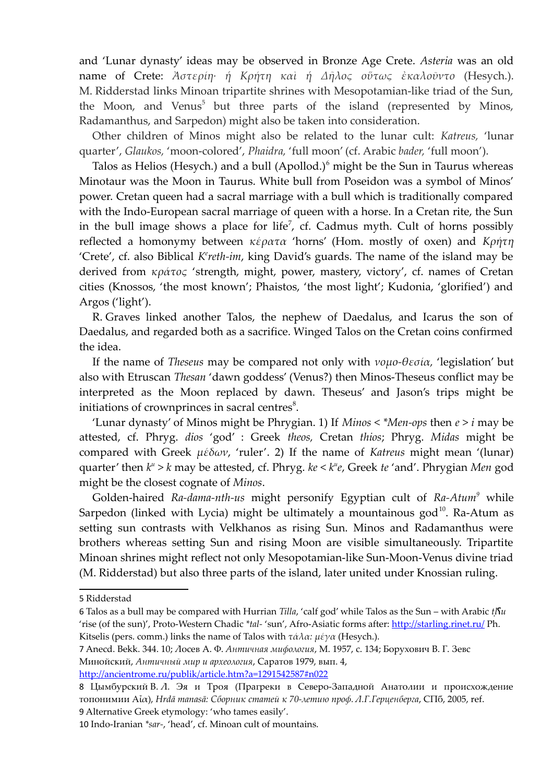and 'Lunar dynasty' ideas may be observed in Bronze Age Crete. *Asteria* was an old name of Crete: *Ἀστερίη· ἡ Κρήτη καὶ ἡ Δῆλος οὕτως ἐκαλοῦντο* (Hesych.). M. Ridderstad links Minoan tripartite shrines with Mesopotamian-like triad of the Sun, the Moon, and Venus<sup>[5](#page-2-0)</sup> but three parts of the island (represented by Minos, Radamanthus, and Sarpedon) might also be taken into consideration.

Other children of Minos might also be related to the lunar cult: *Katreus,* 'lunar quarter', *Glaukos,* 'moon-colored', *Phaidra,* 'full moon' (cf. Arabic *bader,* 'full moon').

Talos as Helios (Hesych.) and a bull  $(Apollod.)<sup>6</sup>$  $(Apollod.)<sup>6</sup>$  $(Apollod.)<sup>6</sup>$  might be the Sun in Taurus whereas Minotaur was the Moon in Taurus. White bull from Poseidon was a symbol of Minos' power. Cretan queen had a sacral marriage with a bull which is traditionally compared with the Indo-European sacral marriage of queen with a horse. In a Cretan rite, the Sun in the bull image shows a place for life<sup>[7](#page-2-2)</sup>, cf. Cadmus myth. Cult of horns possibly reflected a homonymy between *κέρατα* 'horns' (Hom. mostly of oxen) and *Κρήτη* 'Crete', cf. also Biblical *K<sup>e</sup>reth-im*, king David's guards. The name of the island may be derived from *κράτος* 'strength, might, power, mastery, victory', cf. names of Cretan cities (Knossos, 'the most known'; Phaistos, 'the most light'; Kudonia, 'glorified') and Argos ('light').

R. Graves linked another Talos, the nephew of Daedalus, and Icarus the son of Daedalus, and regarded both as a sacrifice. Winged Talos on the Cretan coins confirmed the idea.

If the name of *Theseus* may be compared not only with *νομο-θεσία,* 'legislation' but also with Etruscan *Thesan* 'dawn goddess' (Venus?) then Minos-Theseus conflict may be interpreted as the Moon replaced by dawn. Theseus' and Jason's trips might be initiations of crownprinces in sacral centres $8$ .

'Lunar dynasty' of Minos might be Phrygian. 1) If *Minos* < *\*Men-ops* then *e* > *i* may be attested, cf. Phryg. *dios* 'god' : Greek *theos,* Cretan *thios*; Phryg. *Midas* might be compared with Greek *μέδων*, 'ruler'. 2) If the name of *Katreus* might mean '(lunar) quarter' then  $k^u > k$  may be attested, cf. Phryg.  $ke < k^u e$ , Greek *te* 'and'. Phrygian *Men* god might be the closest cognate of *Minos*.

Golden-haired *Ra-dama-nth-us* might personify Egyptian cult of *Ra-Atum[9](#page-2-4)* while Sarpedon (linked with Lycia) might be ultimately a mountainous god<sup>[10](#page-2-5)</sup>. Ra-Atum as setting sun contrasts with Velkhanos as rising Sun. Minos and Radamanthus were brothers whereas setting Sun and rising Moon are visible simultaneously. Tripartite Minoan shrines might reflect not only Mesopotamian-like Sun-Moon-Venus divine triad (M. Ridderstad) but also three parts of the island, later united under Knossian ruling.

<span id="page-2-0"></span><sup>5</sup> Ridderstad

<span id="page-2-1"></span><sup>6</sup> Talos as a bull may be compared with Hurrian *Tilla*, 'calf god' while Talos as the Sun – with Arabic *t*<sup>[Su</sup> 'rise (of the sun)', Proto-Western Chadic *\*tal-* 'sun', Afro-Asiatic forms after:<http://starling.rinet.ru/>Ph. Kitselis (pers. comm.) links the name of Talos with *τάλα: μέγα* (Hesych.).

<span id="page-2-2"></span><sup>7</sup> Anecd. Bekk. 344. 10; Лосев А. Ф. *Античная мифология*, М. 1957, с. 134; Борухович В. Г. Зевс Минойский, *Античный мир и археология*, Саратов 1979, вып. 4, http://ancientrome.ru/publik/article.htm?a=1291542587#n022

<span id="page-2-3"></span><sup>8</sup> Цымбурский В. Л. Эя и Троя (Прагреки в Северо-Западной Анатолии и происхождение топонимии Αἶα), *Hrdā manasā: Сборник статей к 70-летию проф. Л.Г.Герцeнберга*, СПб, 2005, ref. 9 Alternative Greek etymology: 'who tames easily'.

<span id="page-2-5"></span><span id="page-2-4"></span><sup>10</sup> Indo-Iranian *\*sar-*, 'head', cf. Minoan cult of mountains.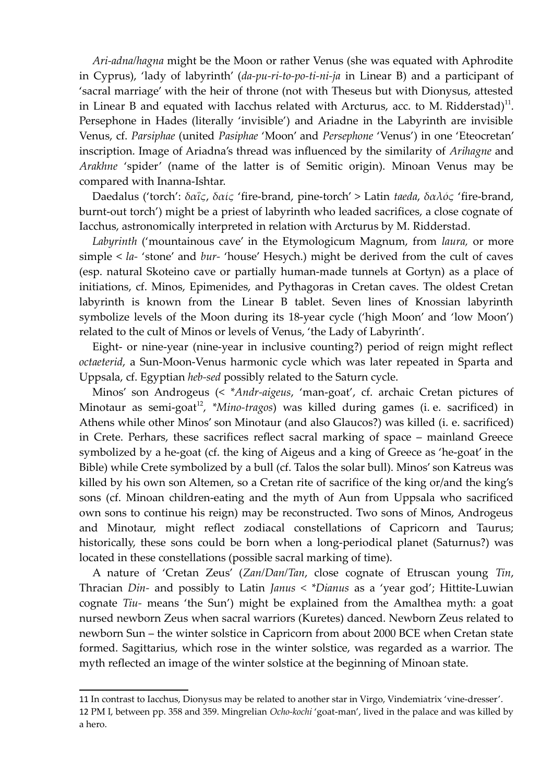*Ari-adna/hagna* might be the Moon or rather Venus (she was equated with Aphrodite in Cyprus), 'lady of labyrinth' (*da-pu-ri-to-po-ti-ni-ja* in Linear B) and a participant of 'sacral marriage' with the heir of throne (not with Theseus but with Dionysus, attested in Linear B and equated with Iacchus related with Arcturus, acc. to M. Ridderstad)<sup>[11](#page-3-0)</sup>. Persephone in Hades (literally 'invisible') and Ariadne in the Labyrinth are invisible Venus, cf. *Parsiphae* (united *Pasiphae* 'Moon' and *Persephone* 'Venus') in one 'Eteocretan' inscription. Image of Ariadna's thread was influenced by the similarity of *Arihagne* and *Arakhne* 'spider' (name of the latter is of Semitic origin). Minoan Venus may be compared with Inanna-Ishtar.

Daedalus ('torch': *δαΐς*, *δαίς* 'fire-brand, pine-torch' > Latin *taeda*, *δαλός* 'fire-brand, burnt-out torch') might be a priest of labyrinth who leaded sacrifices, a close cognate of Iacchus, astronomically interpreted in relation with Arcturus by M. Ridderstad.

*Labyrinth* ('mountainous cave' in the Etymologicum Magnum, from *laura,* or more simple < *la-* 'stone' and *bur-* 'house' Hesych.) might be derived from the cult of caves (esp. natural Skoteino cave or partially human-made tunnels at Gortyn) as a place of initiations, cf. Minos, Epimenides, and Pythagoras in Cretan caves. The oldest Cretan labyrinth is known from the Linear B tablet. Seven lines of Knossian labyrinth symbolize levels of the Moon during its 18-year cycle ('high Moon' and 'low Moon') related to the cult of Minos or levels of Venus, 'the Lady of Labyrinth'.

Eight- or nine-year (nine-year in inclusive counting?) period of reign might reflect *octaeterid*, a Sun-Moon-Venus harmonic cycle which was later repeated in Sparta and Uppsala, cf. Egyptian *heb-sed* possibly related to the Saturn cycle.

Minos' son Androgeus (< *\*Andr-aigeus*, 'man-goat', cf. archaic Cretan pictures of Minotaur as semi-goat<sup>[12](#page-3-1)</sup>, \**Mino-tragos*) was killed during games (i.e. sacrificed) in Athens while other Minos' son Minotaur (and also Glaucos?) was killed (i. e. sacrificed) in Crete. Perhars, these sacrifices reflect sacral marking of space – mainland Greece symbolized by a he-goat (cf. the king of Aigeus and a king of Greece as 'he-goat' in the Bible) while Crete symbolized by a bull (cf. Talos the solar bull). Minos' son Katreus was killed by his own son Altemen, so a Cretan rite of sacrifice of the king or/and the king's sons (cf. Minoan children-eating and the myth of Aun from Uppsala who sacrificed own sons to continue his reign) may be reconstructed. Two sons of Minos, Androgeus and Minotaur, might reflect zodiacal constellations of Capricorn and Taurus; historically, these sons could be born when a long-periodical planet (Saturnus?) was located in these constellations (possible sacral marking of time).

A nature of 'Cretan Zeus' (*Zan/Dan/Tan*, close cognate of Etruscan young *Tin*, Thracian *Din-* and possibly to Latin *Janus < \*Dianus* as a 'year god'; Hittite-Luwian cognate *Tiu-* means 'the Sun') might be explained from the Amalthea myth: a goat nursed newborn Zeus when sacral warriors (Kuretes) danced. Newborn Zeus related to newborn Sun – the winter solstice in Capricorn from about 2000 BCE when Cretan state formed. Sagittarius, which rose in the winter solstice, was regarded as a warrior. The myth reflected an image of the winter solstice at the beginning of Minoan state.

<span id="page-3-0"></span><sup>11</sup> In contrast to Iacchus, Dionysus may be related to another star in Virgo, Vindemiatrix 'vine-dresser'.

<span id="page-3-1"></span><sup>12</sup> PM I, between pp. 358 and 359. Mingrelian *Ocho-kochi* 'goat-man', lived in the palace and was killed by a hero.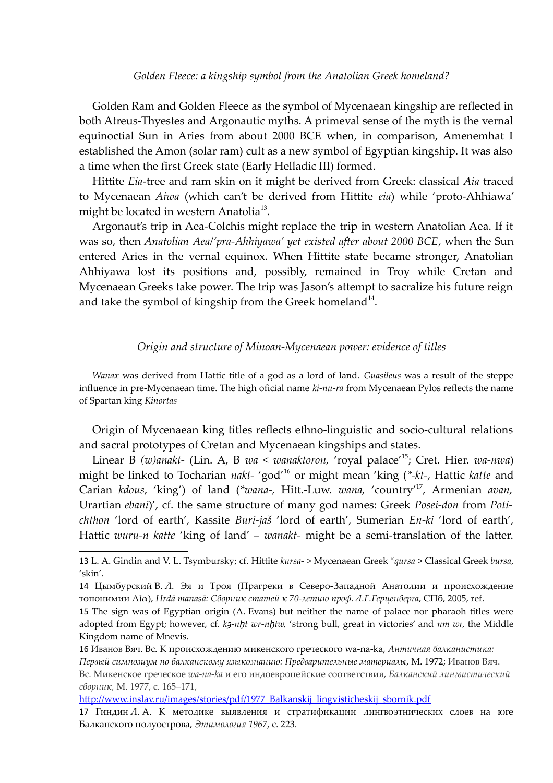### *Golden Fleece: a kingship symbol from the Anatolian Greek homeland?*

Golden Ram and Golden Fleece as the symbol of Mycenaean kingship are reflected in both Atreus-Thyestes and Argonautic myths. A primeval sense of the myth is the vernal equinoctial Sun in Aries from about 2000 BCE when, in comparison, Amenemhat I established the Amon (solar ram) cult as a new symbol of Egyptian kingship. It was also a time when the first Greek state (Early Helladic III) formed.

Hittite *Eia*-tree and ram skin on it might be derived from Greek: classical *Aia* traced to Mycenaean *Aiwa* (which can't be derived from Hittite *eia*) while 'proto-Ahhiawa' might be located in western Anatolia<sup>[13](#page-4-0)</sup>.

Argonaut's trip in Aea-Colchis might replace the trip in western Anatolian Aea. If it was so, then *Anatolian Aea/'pra-Ahhiyawa' yet existed after about 2000 BCE*, when the Sun entered Aries in the vernal equinox. When Hittite state became stronger, Anatolian Ahhiyawa lost its positions and, possibly, remained in Troy while Cretan and Mycenaean Greeks take power. The trip was Jason's attempt to sacralize his future reign and take the symbol of kingship from the Greek homeland $^{14}$  $^{14}$  $^{14}$ .

# *Origin and structure of Minoan-Mycenaean power: evidence of titles*

*Wanax* was derived from Hattic title of a god as a lord of land. *Guasileus* was a result of the steppe influence in pre-Mycenaean time. The high oficial name *ki-nu-ra* from Mycenaean Pylos reflects the name of Spartan king *Kinortas* 

Origin of Mycenaean king titles reflects ethno-linguistic and socio-cultural relations and sacral prototypes of Cretan and Mycenaean kingships and states.

Linear B *(w)anakt-* (Lin. A, B *wa < wanaktoron,* 'royal palace'[15](#page-4-2); Cret. Hier. *wa-nwa*) might be linked to Tocharian *nakt-* 'god'[16](#page-4-3) or might mean 'king (*\*-kt-*, Hattic *katte* and Carian *kdous*, 'king') of land (*\*wana-,* Hitt.-Luw. *wana,* 'country'[17](#page-4-4) , Armenian *avan,* Urartian *ebani*)', cf. the same structure of many god names: Greek *Posei-don* from *Potichthon* 'lord of earth', Kassite *Buri-jaš* 'lord of earth', Sumerian *En-ki* 'lord of earth', Hattic *wuru-n katte* 'king of land' – *wanakt-* might be a semi-translation of the latter.

*Первый симпозиум по балканскому языкознанию: Предварительные материалы*, М. 1972; Иванов Вяч. Вс. Микенское греческое *wa-na-ka* и его индоевропейские соответствия, *Балканский лингвистический сборник,* М. 1977, с. 165–171,

[http://www.inslav.ru/images/stories/pdf/1977\\_Balkanskij\\_lingvisticheskij\\_sbornik.pdf](http://www.inslav.ru/images/stories/pdf/1977_Balkanskij_lingvisticheskij_sbornik.pdf) 

<span id="page-4-4"></span>17 Гиндин Л. А. К методике выявления и стратификации лингвоэтнических слоев на юге Балканского полуострова, *Этимология 1967*, с. 223.

<span id="page-4-0"></span><sup>13</sup> L. A. Gindin and V. L. Tsymbursky; cf. Hittite *kursa-* > Mycenaean Greek *\*qursa* > Classical Greek *bursa*, 'skin'.

<span id="page-4-1"></span><sup>14</sup> Цымбурский В. Л. Эя и Троя (Прагреки в Северо-Западной Анатолии и происхождение топонимии Αἶα), *Hrdā manasā: Сборник статей к 70-летию проф. Л.Г.Герцeнберга*, СПб, 2005, ref.

<span id="page-4-2"></span><sup>15</sup> The sign was of Egyptian origin (A. Evans) but neither the name of palace nor pharaoh titles were adopted from Egypt; however, cf. *kȝ-nḫt wr-nḫtw,* 'strong bull, great in victories' and *nm wr*, the Middle Kingdom name of Mnevis.

<span id="page-4-3"></span><sup>16</sup> Иванов Вяч. Вс. К происхождению микенского греческого wa-na-ka, *Античная балканистика:*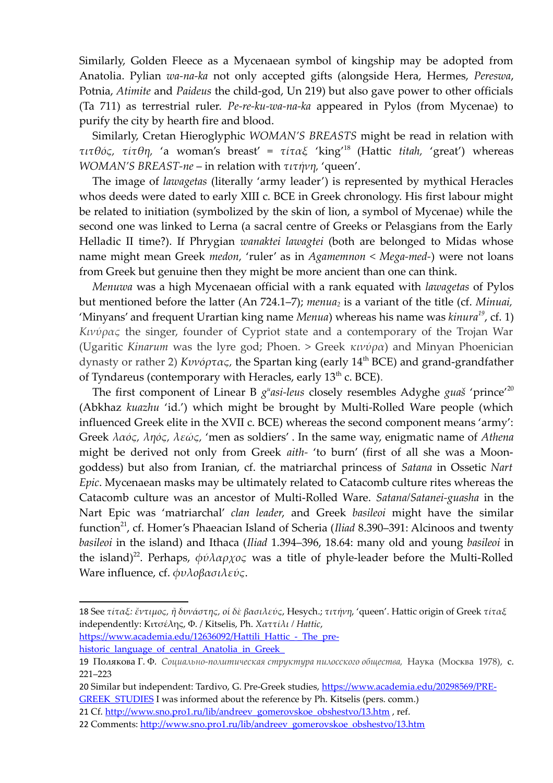Similarly, Golden Fleece as a Mycenaean symbol of kingship may be adopted from Anatolia. Pylian *wa-na-ka* not only accepted gifts (alongside Hera, Hermes, *Pereswa*, Potnia, *Atimite* and *Paideus* the child-god, Un 219) but also gave power to other officials (Ta 711) as terrestrial ruler. *Pe-re-ku-wa-na-ka* appeared in Pylos (from Mycenae) to purify the city by hearth fire and blood.

Similarly, Cretan Hieroglyphic *WOMAN'S BREASTS* might be read in relation with *τιτθός, τίτθη,* 'a woman's breast' = *τίταξ* 'king'[18](#page-5-0) (Hattic *titah,* 'great') whereas *WOMAN'S BREAST-ne* – in relation with *τιτήνη,* 'queen'.

The image of *lawagetas* (literally 'army leader') is represented by mythical Heracles whos deeds were dated to early XIII c. BCE in Greek chronology. His first labour might be related to initiation (symbolized by the skin of lion, a symbol of Mycenae) while the second one was linked to Lerna (a sacral centre of Greeks or Pelasgians from the Early Helladic II time?). If Phrygian *wanaktei lawagtei* (both are belonged to Midas whose name might mean Greek *medon,* 'ruler' as in *Agamemnon < Mega-med-*) were not loans from Greek but genuine then they might be more ancient than one can think.

*Menuwa* was a high Mycenaean official with a rank equated with *lawagetas* of Pylos but mentioned before the latter (An 724.1–7); *menua<sup>2</sup>* is a variant of the title (cf. *Minuai,* 'Minyans' and frequent Urartian king name *Menua*) whereas his name was *kinura[19](#page-5-1)*, cf. 1) *Κινύρας* the singer, founder of Cypriot state and a contemporary of the Trojan War (Ugaritic *Kinarum* was the lyre god; Phoen. > Greek *κινύρα*) and Minyan Phoenician dynasty or rather 2) *Κυνόρτας,* the Spartan king (early 14th BCE) and grand-grandfather of Tyndareus (contemporary with Heracles, early  $13<sup>th</sup>$  c. BCE).

The first component of Linear B  $g^u$ *asi-leus* closely resembles Adyghe *guaš* 'prince'<sup>[20](#page-5-2)</sup> (Abkhaz *kuazhu* 'id.') which might be brought by Multi-Rolled Ware people (which influenced Greek elite in the XVII c. BCE) whereas the second component means 'army': Greek *λαός, ληός, λεώς,* 'men as soldiers' . In the same way, enigmatic name of *Athena* might be derived not only from Greek *aith-* 'to burn' (first of all she was a Moongoddess) but also from Iranian, cf. the matriarchal princess of *Satana* in Ossetic *Nart Epic*. Mycenaean masks may be ultimately related to Catacomb culture rites whereas the Catacomb culture was an ancestor of Multi-Rolled Ware. *Satana/Satanei-guasha* in the Nart Epic was 'matriarchal' *clan leader*, and Greek *basileoi* might have the similar function<sup>[21](#page-5-3)</sup>, cf. Homer's Phaeacian Island of Scheria (*Iliad* 8.390–391: Alcinoos and twenty *basileoi* in the island) and Ithaca (*Iliad* 1.394–396, 18.64: many old and young *basileoi* in the island)<sup>[22](#page-5-4)</sup>. Perhaps,  $\phi \dot{\nu} \lambda \alpha \rho \chi \rho \varsigma$  was a title of phyle-leader before the Multi-Rolled Ware influence, cf. *φυλοβασιλεύς*.

[https://www.academia.edu/12636092/Hattili\\_Hattic\\_-\\_The\\_pre](https://www.academia.edu/12636092/Hattili_Hattic_-_The_pre-historic_language_of_central_Anatolia_in_Greek_)historic language of central Anatolia in Greek

<span id="page-5-0"></span><sup>18</sup> See *τίταξ: ἔντιμος, ἢ δυνάστης, οἱ δὲ βασιλεύς*, Hesych.; *τιτήνη*, 'queen'. Hattic origin of Greek *τίταξ* independently: Κιτσέλης, Φ. / Kitselis, Ph. *Χαττίλι / Hattic*,

<span id="page-5-1"></span><sup>19</sup> Полякова Г. Ф. *Социально-политическая структура пилосского общества,* Наука (Москва 1978), с. 221–223

<span id="page-5-2"></span><sup>20</sup> Similar but independent: Tardivo, G. Pre-Greek studies, [https://www.academia.edu/20298569/PRE-](https://www.academia.edu/20298569/PRE-GREEK_STUDIES)[GREEK\\_STUDIES](https://www.academia.edu/20298569/PRE-GREEK_STUDIES) I was informed about the reference by Ph. Kitselis (pers. comm.)

<span id="page-5-3"></span><sup>21</sup> Cf. [http://www.sno.pro1.ru/lib/andreev\\_gomerovskoe\\_obshestvo/13.htm](http://www.sno.pro1.ru/lib/andreev_gomerovskoe_obshestvo/13.htm) , ref.

<span id="page-5-4"></span><sup>22</sup> Comments: http://www.sno.pro1.ru/lib/andreev\_gomerovskoe\_obshestvo/13.htm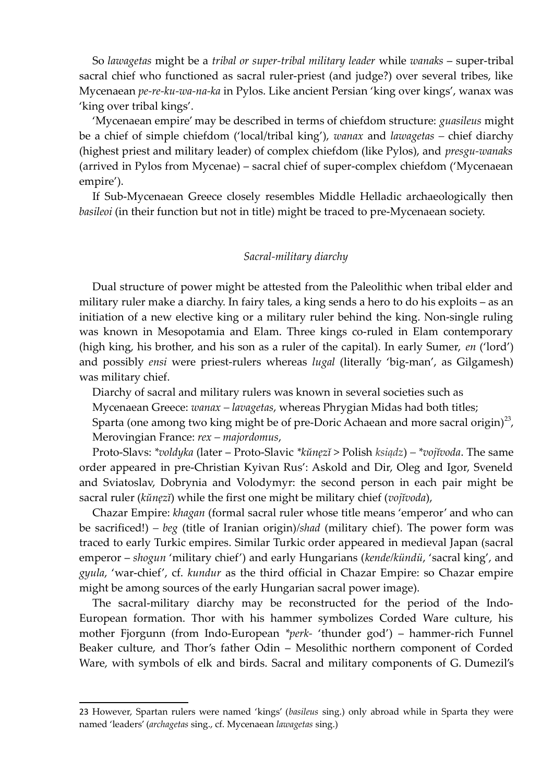So *lawagetas* might be a *tribal or super-tribal military leader* while *wanaks* – super-tribal sacral chief who functioned as sacral ruler-priest (and judge?) over several tribes, like Mycenaean *pe-re-ku-wa-na-ka* in Pylos. Like ancient Persian 'king over kings', wanax was 'king over tribal kings'.

'Mycenaean empire' may be described in terms of chiefdom structure: *guasileus* might be a chief of simple chiefdom ('local/tribal king'), *wanax* and *lawagetas –* chief diarchy (highest priest and military leader) of complex chiefdom (like Pylos), and *presgu-wanaks* (arrived in Pylos from Mycenae) – sacral chief of super-complex chiefdom ('Mycenaean empire').

If Sub-Mycenaean Greece closely resembles Middle Helladic archaeologically then *basileoi* (in their function but not in title) might be traced to pre-Mycenaean society.

#### *Sacral-military diarchy*

Dual structure of power might be attested from the Paleolithic when tribal elder and military ruler make a diarchy. In fairy tales, a king sends a hero to do his exploits – as an initiation of a new elective king or a military ruler behind the king. Non-single ruling was known in Mesopotamia and Elam. Three kings co-ruled in Elam contemporary (high king, his brother, and his son as a ruler of the capital). In early Sumer, *en* ('lord') and possibly *ensi* were priest-rulers whereas *lugal* (literally 'big-man', as Gilgamesh) was military chief.

Diarchy of sacral and military rulers was known in several societies such as

Mycenaean Greece: *wanax – lavagetas*, whereas Phrygian Midas had both titles;

Sparta (one among two king might be of pre-Doric Achaean and more sacral origin) $^{23}$  $^{23}$  $^{23}$ , Merovingian France: *rex – majordomus*,

Proto-Slavs: *\*voldyka* (later – Proto-Slavic *\*kŭnęzĭ* > Polish *ksiądz*) *– \*vojĭvoda*. The same order appeared in pre-Christian Kyivan Rus': Askold and Dir, Oleg and Igor, Sveneld and Sviatoslav, Dobrynia and Volodymyr: the second person in each pair might be sacral ruler (*kŭnęzĭ*) while the first one might be military chief (*vojĭvoda*),

Chazar Empire: *khagan* (formal sacral ruler whose title means 'emperor' and who can be sacrificed!) *– beg* (title of Iranian origin)*/shad* (military chief). The power form was traced to early Turkic empires. Similar Turkic order appeared in medieval Japan (sacral emperor – *shogun* 'military chief') and early Hungarians (*kende/kündü*, 'sacral king', and *gyula*, 'war-chief', cf. *kundur* as the third official in Chazar Empire: so Chazar empire might be among sources of the early Hungarian sacral power image).

The sacral-military diarchy may be reconstructed for the period of the Indo-European formation. Thor with his hammer symbolizes Corded Ware culture, his mother Fjorgunn (from Indo-European *\*perk-* 'thunder god') – hammer-rich Funnel Beaker culture, and Thor's father Odin – Mesolithic northern component of Corded Ware, with symbols of elk and birds. Sacral and military components of G. Dumezil's

<span id="page-6-0"></span><sup>23</sup> However, Spartan rulers were named 'kings' (*basileus* sing.) only abroad while in Sparta they were named 'leaders' (*archagetas* sing., cf. Mycenaean *lawagetas* sing.)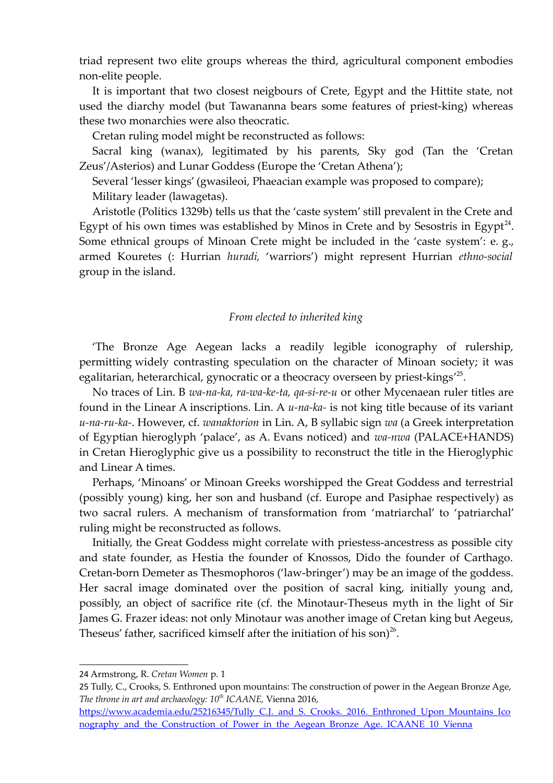triad represent two elite groups whereas the third, agricultural component embodies non-elite people.

It is important that two closest neigbours of Crete, Egypt and the Hittite state, not used the diarchy model (but Tawananna bears some features of priest-king) whereas these two monarchies were also theocratic.

Cretan ruling model might be reconstructed as follows:

Sacral king (wanax), legitimated by his parents, Sky god (Tan the 'Cretan Zeus'/Asterios) and Lunar Goddess (Europe the 'Cretan Athena');

Several 'lesser kings' (gwasileoi, Phaeacian example was proposed to compare); Military leader (lawagetas).

Aristotle (Politics 1329b) tells us that the 'caste system' still prevalent in the Crete and Egypt of his own times was established by Minos in Crete and by Sesostris in Egypt<sup>[24](#page-7-0)</sup>. Some ethnical groups of Minoan Crete might be included in the 'caste system': e. g., armed Kouretes (: Hurrian *huradi,* 'warriors') might represent Hurrian *ethno-social* group in the island.

### *From elected to inherited king*

'The Bronze Age Aegean lacks a readily legible iconography of rulership, permitting widely contrasting speculation on the character of Minoan society; it was egalitarian, heterarchical, gynocratic or a theocracy overseen by priest-kings'<sup>[25](#page-7-1)</sup>.

No traces of Lin. B *wa-na-ka, ra-wa-ke-ta, qa-si-re-u* or other Mycenaean ruler titles are found in the Linear A inscriptions. Lin. A *u-na-ka-* is not king title because of its variant *u-na-ru-ka-*. However, cf. *wanaktorion* in Lin. A, B syllabic sign *wa* (a Greek interpretation of Egyptian hieroglyph 'palace', as A. Evans noticed) and *wa-nwa* (PALACE+HANDS) in Cretan Hieroglyphic give us a possibility to reconstruct the title in the Hieroglyphic and Linear A times.

Perhaps, 'Minoans' or Minoan Greeks worshipped the Great Goddess and terrestrial (possibly young) king, her son and husband (cf. Europe and Pasiphae respectively) as two sacral rulers. A mechanism of transformation from 'matriarchal' to 'patriarchal' ruling might be reconstructed as follows.

Initially, the Great Goddess might correlate with priestess-ancestress as possible city and state founder, as Hestia the founder of Knossos, Dido the founder of Carthago. Cretan-born Demeter as Thesmophoros ('law-bringer') may be an image of the goddess. Her sacral image dominated over the position of sacral king, initially young and, possibly, an object of sacrifice rite (cf. the Minotaur-Theseus myth in the light of Sir James G. Frazer ideas: not only Minotaur was another image of Cretan king but Aegeus, Theseus' father, sacrificed kimself after the initiation of his son)<sup>26</sup>.

<span id="page-7-0"></span><sup>24</sup> Armstrong, R. *Cretan Women* p. 1

<span id="page-7-1"></span><sup>25</sup> Tully, C., Crooks, S. Enthroned upon mountains: The construction of power in the Aegean Bronze Age, *The throne in art and archaeology: 10th ICAANE,* Vienna 2016,

[https://www.academia.edu/25216345/Tully\\_C.J.\\_and\\_S.\\_Crooks.\\_2016.\\_Enthroned\\_Upon\\_Mountains\\_Ico](https://www.academia.edu/25216345/Tully_C.J._and_S._Crooks._2016._Enthroned_Upon_Mountains_Iconography_and_the_Construction_of_Power_in_the_Aegean_Bronze_Age._ICAANE_10_Vienna) nography\_and\_the\_Construction\_of\_Power\_in\_the\_Aegean\_Bronze\_Age.\_ICAANE\_10\_Vienna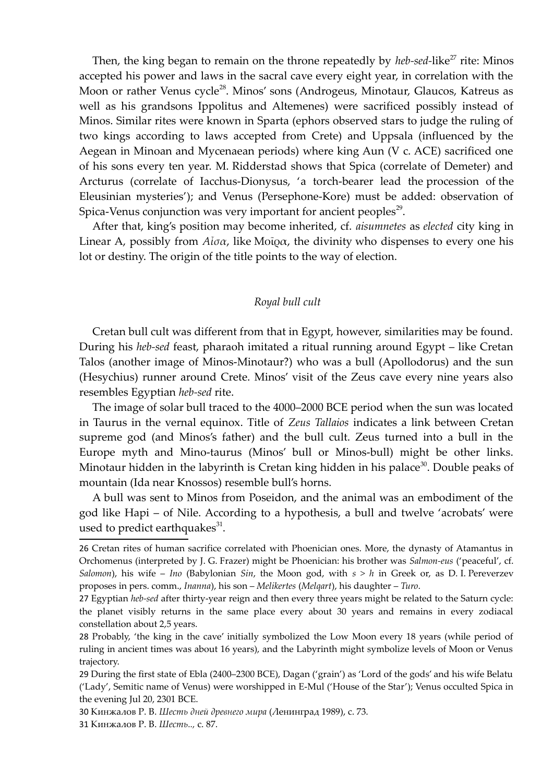Then, the king began to remain on the throne repeatedly by *heb-sed-like<sup>[27](#page-8-0)</sup>* rite: Minos accepted his power and laws in the sacral cave every eight year, in correlation with the Moon or rather Venus cycle<sup>[28](#page-8-1)</sup>. Minos' sons (Androgeus, Minotaur, Glaucos, Katreus as well as his grandsons Ippolitus and Altemenes) were sacrificed possibly instead of Minos. Similar rites were known in Sparta (ephors observed stars to judge the ruling of two kings according to laws accepted from Crete) and Uppsala (influenced by the Aegean in Minoan and Mycenaean periods) where king Aun (V c. ACE) sacrificed one of his sons every ten year. M. Ridderstad shows that Spica (correlate of Demeter) and Arcturus (correlate of Iacchus-Dionysus, 'a torch-bearer lead the procession of the Eleusinian mysteries'); and Venus (Persephone-Kore) must be added: observation of Spica-Venus conjunction was very important for ancient peoples $29$ .

After that, king's position may become inherited, cf. *aisumnetes* as *elected* city king in Linear A, possibly from *Αἶσα*, like Μοῖρα, the divinity who dispenses to every one his lot or destiny. The origin of the title points to the way of election.

#### *Royal bull cult*

Cretan bull cult was different from that in Egypt, however, similarities may be found. During his *heb-sed* feast, pharaoh imitated a ritual running around Egypt – like Cretan Talos (another image of Minos-Minotaur?) who was a bull (Apollodorus) and the sun (Hesychius) runner around Crete. Minos' visit of the Zeus cave every nine years also resembles Egyptian *heb-sed* rite.

The image of solar bull traced to the 4000–2000 BCE period when the sun was located in Taurus in the vernal equinox. Title of *Zeus Tallaios* indicates a link between Cretan supreme god (and Minos's father) and the bull cult. Zeus turned into a bull in the Europe myth and Mino-taurus (Minos' bull or Minos-bull) might be other links. Minotaur hidden in the labyrinth is Cretan king hidden in his palace<sup>[30](#page-8-3)</sup>. Double peaks of mountain (Ida near Knossos) resemble bull's horns.

A bull was sent to Minos from Poseidon, and the animal was an embodiment of the god like Hapi – of Nile. According to a hypothesis, a bull and twelve 'acrobats' were used to predict earthquakes $^{31}$  $^{31}$  $^{31}$ .

<sup>26</sup> Cretan rites of human sacrifice correlated with Phoenician ones. More, the dynasty of Atamantus in Orchomenus (interpreted by J. G. Frazer) might be Phoenician: his brother was *Salmon-eus* ('peaceful', cf. *Salomon*), his wife – *Ino* (Babylonian *Sin*, the Moon god, with *s > h* in Greek or, as D. I. Pereverzev proposes in pers. comm., *Inanna*), his son – *Melikertes* (*Melqart*), his daughter – *Turo*.

<span id="page-8-0"></span><sup>27</sup> Egyptian *heb-sed* after thirty-year reign and then every three years might be related to the Saturn cycle: the planet visibly returns in the same place every about 30 years and remains in every zodiacal constellation about 2,5 years.

<span id="page-8-1"></span><sup>28</sup> Probably, 'the king in the cave' initially symbolized the Low Moon every 18 years (while period of ruling in ancient times was about 16 years), and the Labyrinth might symbolize levels of Moon or Venus trajectory.

<span id="page-8-2"></span><sup>29</sup> During the first state of Ebla (2400–2300 BCE), Dagan ('grain') as 'Lord of the gods' and his wife Belatu ('Lady', Semitic name of Venus) were worshipped in E-Mul ('House of the Star'); Venus occulted Spica in the evening Jul 20, 2301 BCE.

<span id="page-8-3"></span><sup>30</sup> Кинжалов Р. В. *Шесть дней древнего мира* (Ленинград 1989), с. 73.

<span id="page-8-4"></span><sup>31</sup> Кинжалов Р. В. *Шесть..,* с. 87.